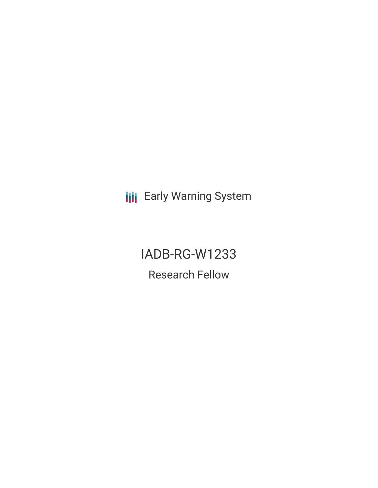**III** Early Warning System

IADB-RG-W1233 Research Fellow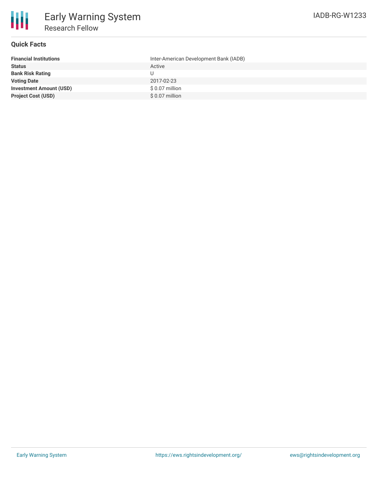

## **Quick Facts**

| <b>Financial Institutions</b>  | Inter-American Development Bank (IADB) |
|--------------------------------|----------------------------------------|
| <b>Status</b>                  | Active                                 |
| <b>Bank Risk Rating</b>        |                                        |
| <b>Voting Date</b>             | 2017-02-23                             |
| <b>Investment Amount (USD)</b> | $$0.07$ million                        |
| <b>Project Cost (USD)</b>      | $$0.07$ million                        |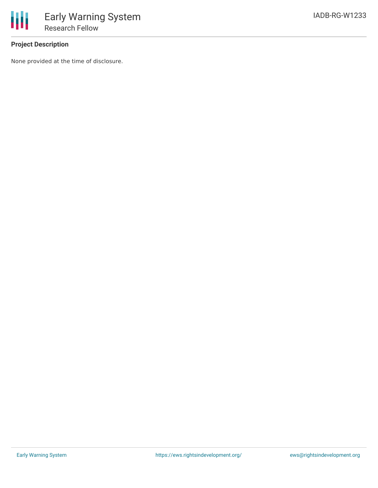

## **Project Description**

None provided at the time of disclosure.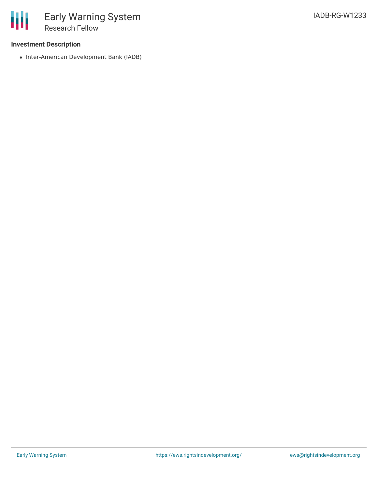• Inter-American Development Bank (IADB)